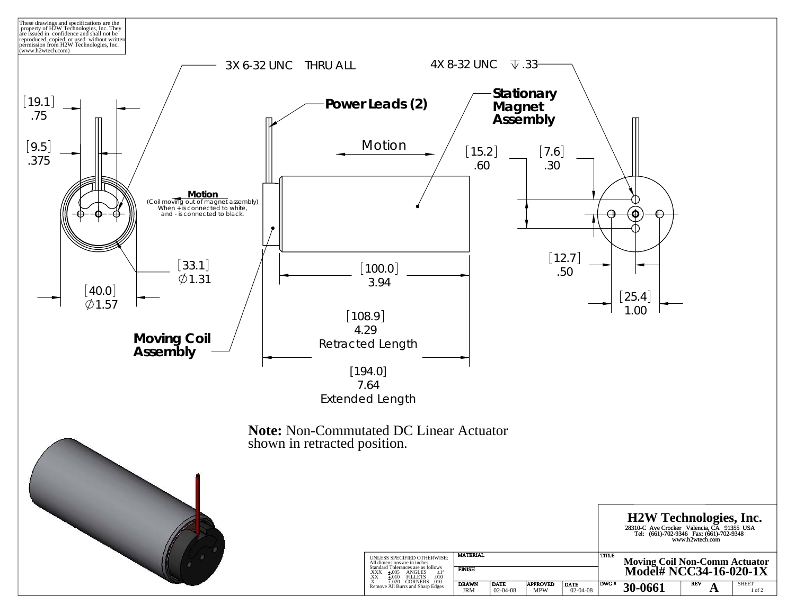